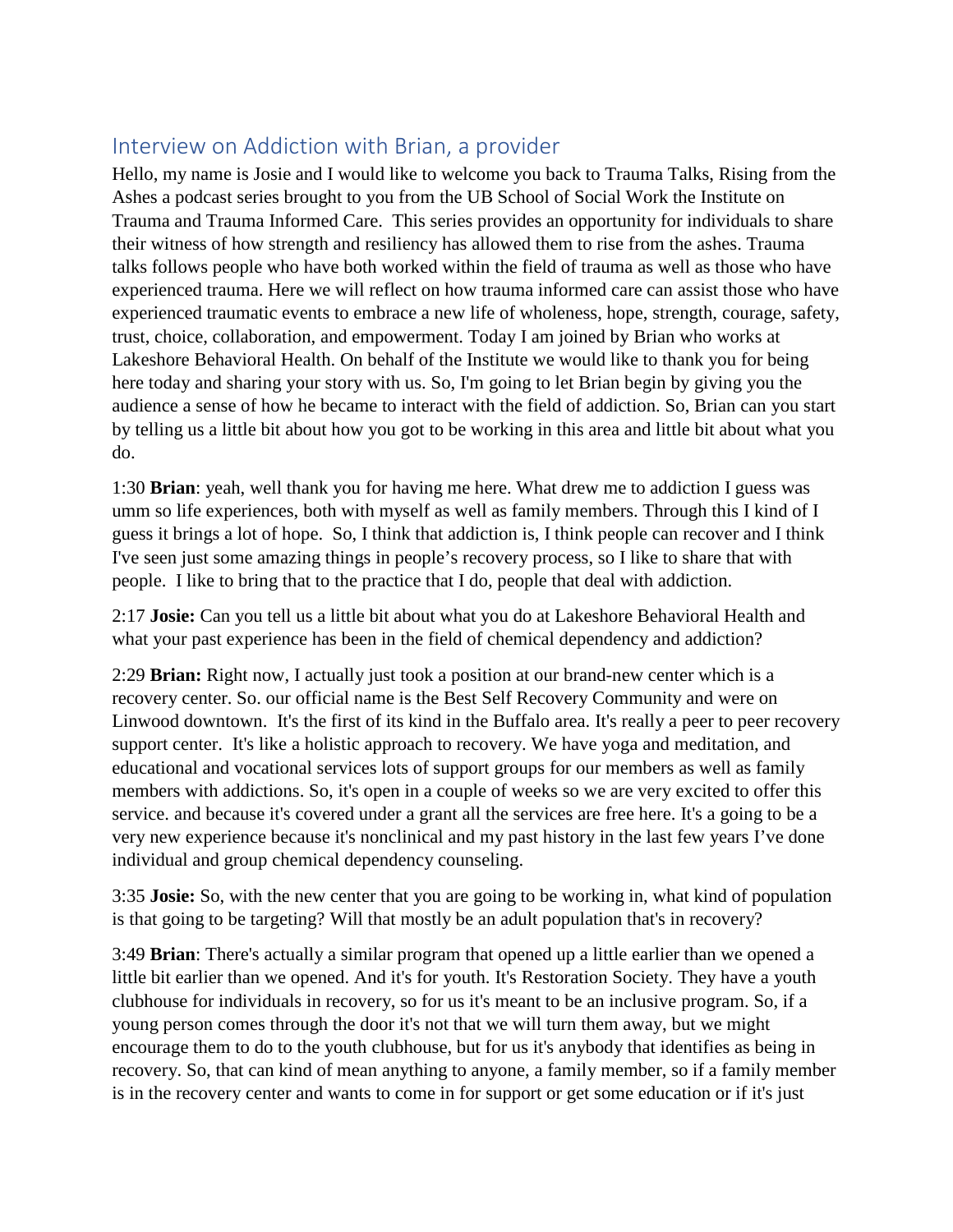## Interview on Addiction with Brian, a provider

Hello, my name is Josie and I would like to welcome you back to Trauma Talks, Rising from the Ashes a podcast series brought to you from the UB School of Social Work the Institute on Trauma and Trauma Informed Care. This series provides an opportunity for individuals to share their witness of how strength and resiliency has allowed them to rise from the ashes. Trauma talks follows people who have both worked within the field of trauma as well as those who have experienced trauma. Here we will reflect on how trauma informed care can assist those who have experienced traumatic events to embrace a new life of wholeness, hope, strength, courage, safety, trust, choice, collaboration, and empowerment. Today I am joined by Brian who works at Lakeshore Behavioral Health. On behalf of the Institute we would like to thank you for being here today and sharing your story with us. So, I'm going to let Brian begin by giving you the audience a sense of how he became to interact with the field of addiction. So, Brian can you start by telling us a little bit about how you got to be working in this area and little bit about what you do.

1:30 **Brian**: yeah, well thank you for having me here. What drew me to addiction I guess was umm so life experiences, both with myself as well as family members. Through this I kind of I guess it brings a lot of hope. So, I think that addiction is, I think people can recover and I think I've seen just some amazing things in people's recovery process, so I like to share that with people. I like to bring that to the practice that I do, people that deal with addiction.

2:17 **Josie:** Can you tell us a little bit about what you do at Lakeshore Behavioral Health and what your past experience has been in the field of chemical dependency and addiction?

2:29 **Brian:** Right now, I actually just took a position at our brand-new center which is a recovery center. So. our official name is the Best Self Recovery Community and were on Linwood downtown. It's the first of its kind in the Buffalo area. It's really a peer to peer recovery support center. It's like a holistic approach to recovery. We have yoga and meditation, and educational and vocational services lots of support groups for our members as well as family members with addictions. So, it's open in a couple of weeks so we are very excited to offer this service. and because it's covered under a grant all the services are free here. It's a going to be a very new experience because it's nonclinical and my past history in the last few years I've done individual and group chemical dependency counseling.

3:35 **Josie:** So, with the new center that you are going to be working in, what kind of population is that going to be targeting? Will that mostly be an adult population that's in recovery?

3:49 **Brian**: There's actually a similar program that opened up a little earlier than we opened a little bit earlier than we opened. And it's for youth. It's Restoration Society. They have a youth clubhouse for individuals in recovery, so for us it's meant to be an inclusive program. So, if a young person comes through the door it's not that we will turn them away, but we might encourage them to do to the youth clubhouse, but for us it's anybody that identifies as being in recovery. So, that can kind of mean anything to anyone, a family member, so if a family member is in the recovery center and wants to come in for support or get some education or if it's just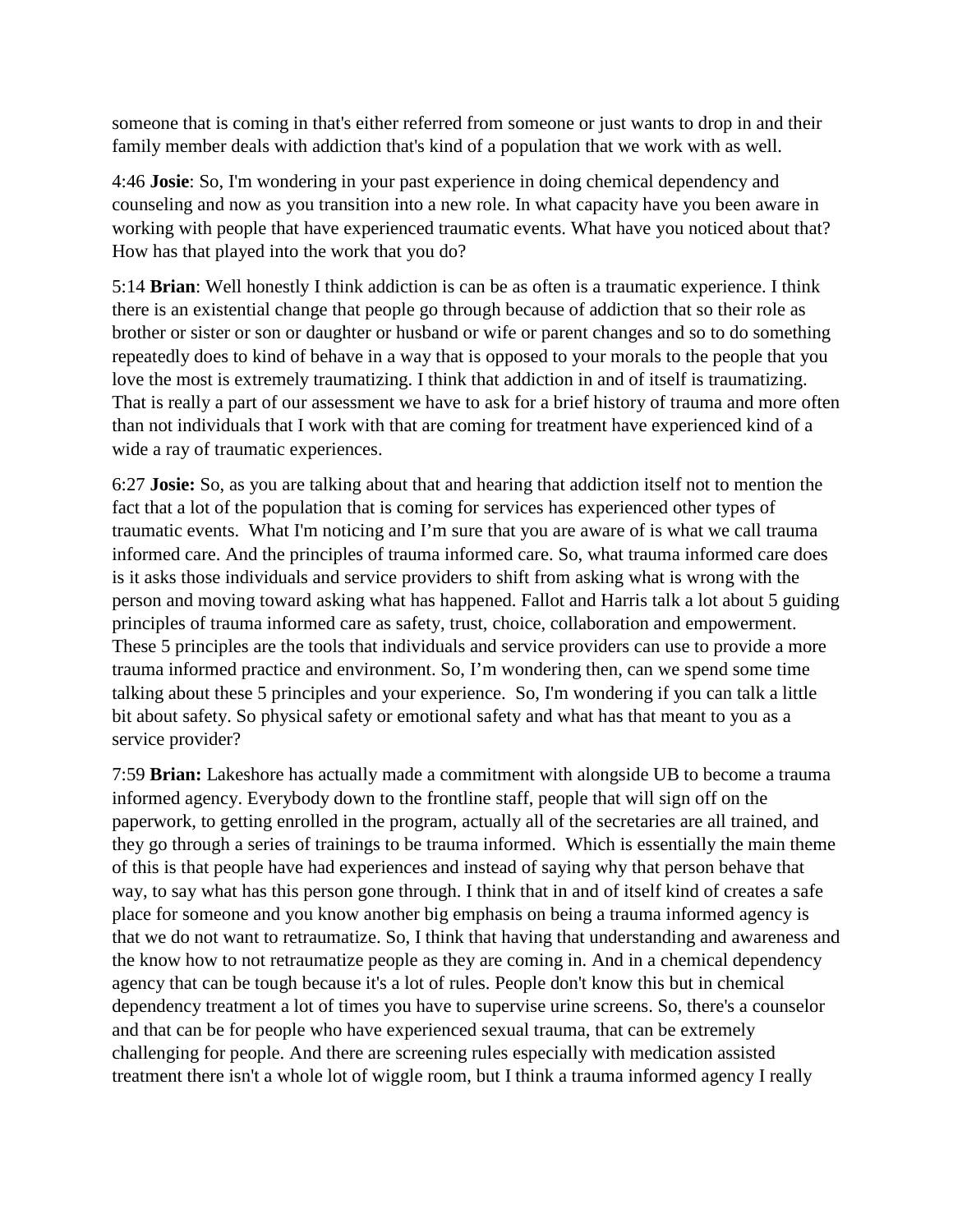someone that is coming in that's either referred from someone or just wants to drop in and their family member deals with addiction that's kind of a population that we work with as well.

4:46 **Josie**: So, I'm wondering in your past experience in doing chemical dependency and counseling and now as you transition into a new role. In what capacity have you been aware in working with people that have experienced traumatic events. What have you noticed about that? How has that played into the work that you do?

5:14 **Brian**: Well honestly I think addiction is can be as often is a traumatic experience. I think there is an existential change that people go through because of addiction that so their role as brother or sister or son or daughter or husband or wife or parent changes and so to do something repeatedly does to kind of behave in a way that is opposed to your morals to the people that you love the most is extremely traumatizing. I think that addiction in and of itself is traumatizing. That is really a part of our assessment we have to ask for a brief history of trauma and more often than not individuals that I work with that are coming for treatment have experienced kind of a wide a ray of traumatic experiences.

6:27 **Josie:** So, as you are talking about that and hearing that addiction itself not to mention the fact that a lot of the population that is coming for services has experienced other types of traumatic events. What I'm noticing and I'm sure that you are aware of is what we call trauma informed care. And the principles of trauma informed care. So, what trauma informed care does is it asks those individuals and service providers to shift from asking what is wrong with the person and moving toward asking what has happened. Fallot and Harris talk a lot about 5 guiding principles of trauma informed care as safety, trust, choice, collaboration and empowerment. These 5 principles are the tools that individuals and service providers can use to provide a more trauma informed practice and environment. So, I'm wondering then, can we spend some time talking about these 5 principles and your experience. So, I'm wondering if you can talk a little bit about safety. So physical safety or emotional safety and what has that meant to you as a service provider?

7:59 **Brian:** Lakeshore has actually made a commitment with alongside UB to become a trauma informed agency. Everybody down to the frontline staff, people that will sign off on the paperwork, to getting enrolled in the program, actually all of the secretaries are all trained, and they go through a series of trainings to be trauma informed. Which is essentially the main theme of this is that people have had experiences and instead of saying why that person behave that way, to say what has this person gone through. I think that in and of itself kind of creates a safe place for someone and you know another big emphasis on being a trauma informed agency is that we do not want to retraumatize. So, I think that having that understanding and awareness and the know how to not retraumatize people as they are coming in. And in a chemical dependency agency that can be tough because it's a lot of rules. People don't know this but in chemical dependency treatment a lot of times you have to supervise urine screens. So, there's a counselor and that can be for people who have experienced sexual trauma, that can be extremely challenging for people. And there are screening rules especially with medication assisted treatment there isn't a whole lot of wiggle room, but I think a trauma informed agency I really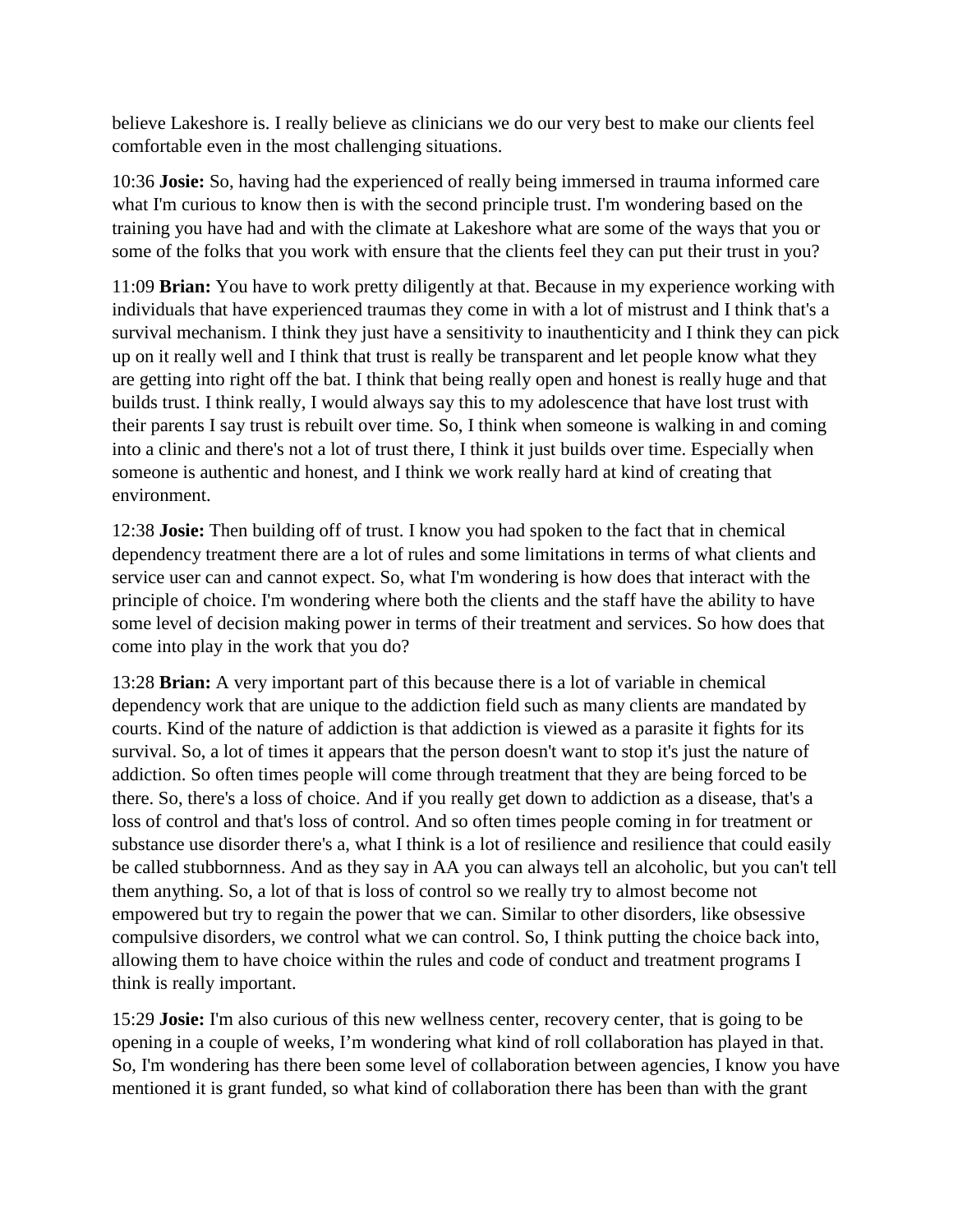believe Lakeshore is. I really believe as clinicians we do our very best to make our clients feel comfortable even in the most challenging situations.

10:36 **Josie:** So, having had the experienced of really being immersed in trauma informed care what I'm curious to know then is with the second principle trust. I'm wondering based on the training you have had and with the climate at Lakeshore what are some of the ways that you or some of the folks that you work with ensure that the clients feel they can put their trust in you?

11:09 **Brian:** You have to work pretty diligently at that. Because in my experience working with individuals that have experienced traumas they come in with a lot of mistrust and I think that's a survival mechanism. I think they just have a sensitivity to inauthenticity and I think they can pick up on it really well and I think that trust is really be transparent and let people know what they are getting into right off the bat. I think that being really open and honest is really huge and that builds trust. I think really, I would always say this to my adolescence that have lost trust with their parents I say trust is rebuilt over time. So, I think when someone is walking in and coming into a clinic and there's not a lot of trust there, I think it just builds over time. Especially when someone is authentic and honest, and I think we work really hard at kind of creating that environment.

12:38 **Josie:** Then building off of trust. I know you had spoken to the fact that in chemical dependency treatment there are a lot of rules and some limitations in terms of what clients and service user can and cannot expect. So, what I'm wondering is how does that interact with the principle of choice. I'm wondering where both the clients and the staff have the ability to have some level of decision making power in terms of their treatment and services. So how does that come into play in the work that you do?

13:28 **Brian:** A very important part of this because there is a lot of variable in chemical dependency work that are unique to the addiction field such as many clients are mandated by courts. Kind of the nature of addiction is that addiction is viewed as a parasite it fights for its survival. So, a lot of times it appears that the person doesn't want to stop it's just the nature of addiction. So often times people will come through treatment that they are being forced to be there. So, there's a loss of choice. And if you really get down to addiction as a disease, that's a loss of control and that's loss of control. And so often times people coming in for treatment or substance use disorder there's a, what I think is a lot of resilience and resilience that could easily be called stubbornness. And as they say in AA you can always tell an alcoholic, but you can't tell them anything. So, a lot of that is loss of control so we really try to almost become not empowered but try to regain the power that we can. Similar to other disorders, like obsessive compulsive disorders, we control what we can control. So, I think putting the choice back into, allowing them to have choice within the rules and code of conduct and treatment programs I think is really important.

15:29 **Josie:** I'm also curious of this new wellness center, recovery center, that is going to be opening in a couple of weeks, I'm wondering what kind of roll collaboration has played in that. So, I'm wondering has there been some level of collaboration between agencies, I know you have mentioned it is grant funded, so what kind of collaboration there has been than with the grant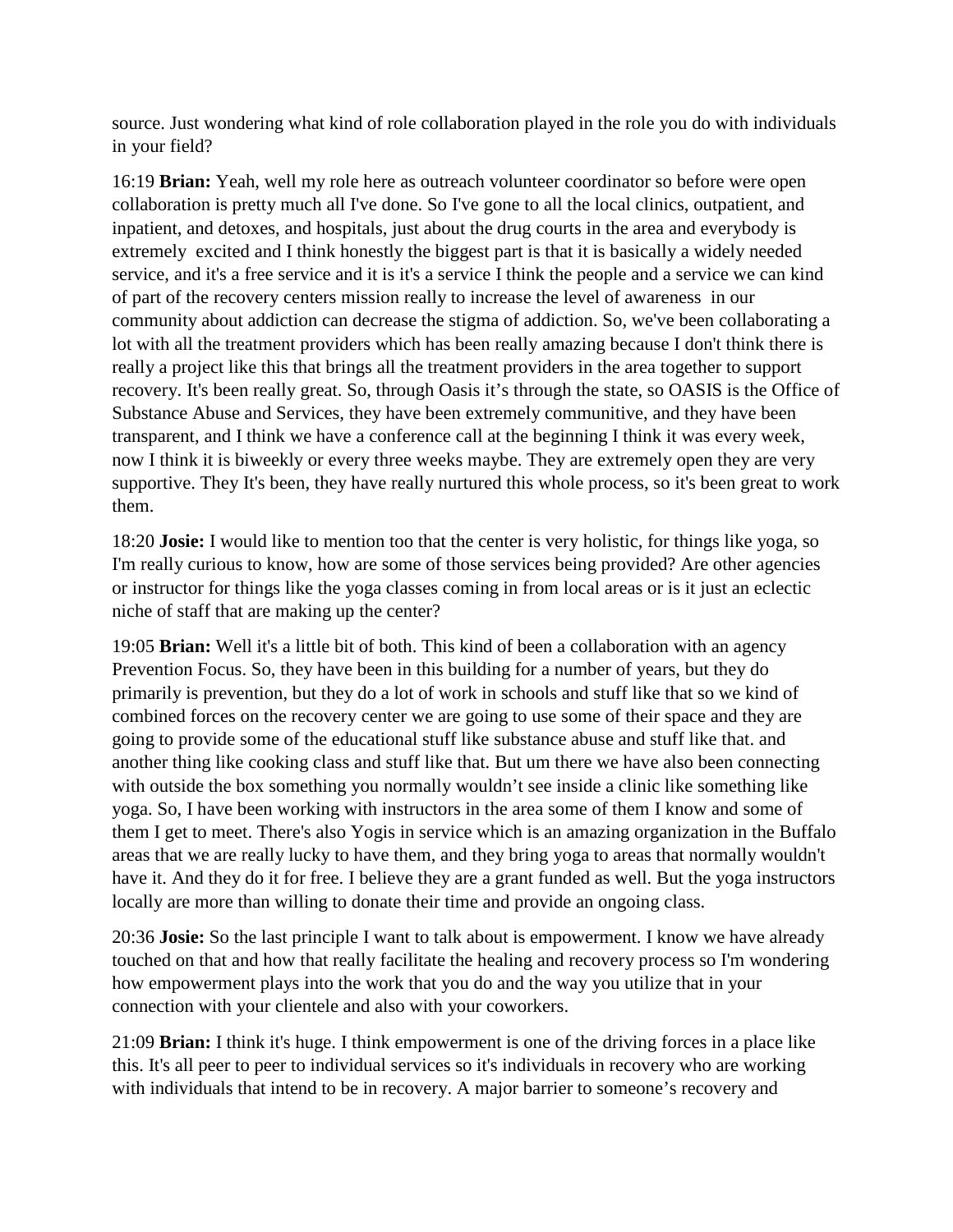source. Just wondering what kind of role collaboration played in the role you do with individuals in your field?

16:19 **Brian:** Yeah, well my role here as outreach volunteer coordinator so before were open collaboration is pretty much all I've done. So I've gone to all the local clinics, outpatient, and inpatient, and detoxes, and hospitals, just about the drug courts in the area and everybody is extremely excited and I think honestly the biggest part is that it is basically a widely needed service, and it's a free service and it is it's a service I think the people and a service we can kind of part of the recovery centers mission really to increase the level of awareness in our community about addiction can decrease the stigma of addiction. So, we've been collaborating a lot with all the treatment providers which has been really amazing because I don't think there is really a project like this that brings all the treatment providers in the area together to support recovery. It's been really great. So, through Oasis it's through the state, so OASIS is the Office of Substance Abuse and Services, they have been extremely communitive, and they have been transparent, and I think we have a conference call at the beginning I think it was every week, now I think it is biweekly or every three weeks maybe. They are extremely open they are very supportive. They It's been, they have really nurtured this whole process, so it's been great to work them.

18:20 **Josie:** I would like to mention too that the center is very holistic, for things like yoga, so I'm really curious to know, how are some of those services being provided? Are other agencies or instructor for things like the yoga classes coming in from local areas or is it just an eclectic niche of staff that are making up the center?

19:05 **Brian:** Well it's a little bit of both. This kind of been a collaboration with an agency Prevention Focus. So, they have been in this building for a number of years, but they do primarily is prevention, but they do a lot of work in schools and stuff like that so we kind of combined forces on the recovery center we are going to use some of their space and they are going to provide some of the educational stuff like substance abuse and stuff like that. and another thing like cooking class and stuff like that. But um there we have also been connecting with outside the box something you normally wouldn't see inside a clinic like something like yoga. So, I have been working with instructors in the area some of them I know and some of them I get to meet. There's also Yogis in service which is an amazing organization in the Buffalo areas that we are really lucky to have them, and they bring yoga to areas that normally wouldn't have it. And they do it for free. I believe they are a grant funded as well. But the yoga instructors locally are more than willing to donate their time and provide an ongoing class.

20:36 **Josie:** So the last principle I want to talk about is empowerment. I know we have already touched on that and how that really facilitate the healing and recovery process so I'm wondering how empowerment plays into the work that you do and the way you utilize that in your connection with your clientele and also with your coworkers.

21:09 **Brian:** I think it's huge. I think empowerment is one of the driving forces in a place like this. It's all peer to peer to individual services so it's individuals in recovery who are working with individuals that intend to be in recovery. A major barrier to someone's recovery and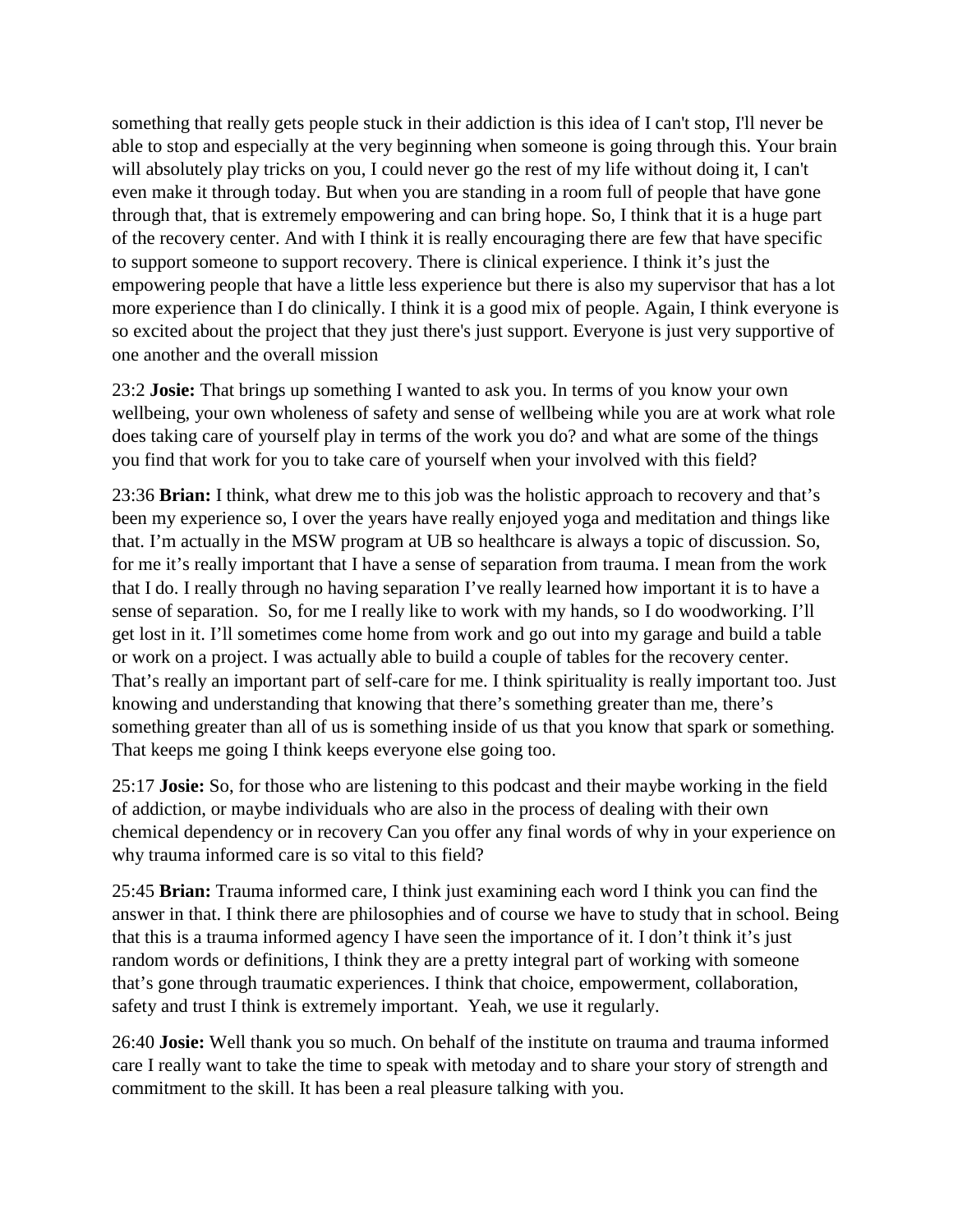something that really gets people stuck in their addiction is this idea of I can't stop, I'll never be able to stop and especially at the very beginning when someone is going through this. Your brain will absolutely play tricks on you, I could never go the rest of my life without doing it, I can't even make it through today. But when you are standing in a room full of people that have gone through that, that is extremely empowering and can bring hope. So, I think that it is a huge part of the recovery center. And with I think it is really encouraging there are few that have specific to support someone to support recovery. There is clinical experience. I think it's just the empowering people that have a little less experience but there is also my supervisor that has a lot more experience than I do clinically. I think it is a good mix of people. Again, I think everyone is so excited about the project that they just there's just support. Everyone is just very supportive of one another and the overall mission

23:2 **Josie:** That brings up something I wanted to ask you. In terms of you know your own wellbeing, your own wholeness of safety and sense of wellbeing while you are at work what role does taking care of yourself play in terms of the work you do? and what are some of the things you find that work for you to take care of yourself when your involved with this field?

23:36 **Brian:** I think, what drew me to this job was the holistic approach to recovery and that's been my experience so, I over the years have really enjoyed yoga and meditation and things like that. I'm actually in the MSW program at UB so healthcare is always a topic of discussion. So, for me it's really important that I have a sense of separation from trauma. I mean from the work that I do. I really through no having separation I've really learned how important it is to have a sense of separation. So, for me I really like to work with my hands, so I do woodworking. I'll get lost in it. I'll sometimes come home from work and go out into my garage and build a table or work on a project. I was actually able to build a couple of tables for the recovery center. That's really an important part of self-care for me. I think spirituality is really important too. Just knowing and understanding that knowing that there's something greater than me, there's something greater than all of us is something inside of us that you know that spark or something. That keeps me going I think keeps everyone else going too.

25:17 **Josie:** So, for those who are listening to this podcast and their maybe working in the field of addiction, or maybe individuals who are also in the process of dealing with their own chemical dependency or in recovery Can you offer any final words of why in your experience on why trauma informed care is so vital to this field?

25:45 **Brian:** Trauma informed care, I think just examining each word I think you can find the answer in that. I think there are philosophies and of course we have to study that in school. Being that this is a trauma informed agency I have seen the importance of it. I don't think it's just random words or definitions, I think they are a pretty integral part of working with someone that's gone through traumatic experiences. I think that choice, empowerment, collaboration, safety and trust I think is extremely important. Yeah, we use it regularly.

26:40 **Josie:** Well thank you so much. On behalf of the institute on trauma and trauma informed care I really want to take the time to speak with metoday and to share your story of strength and commitment to the skill. It has been a real pleasure talking with you.